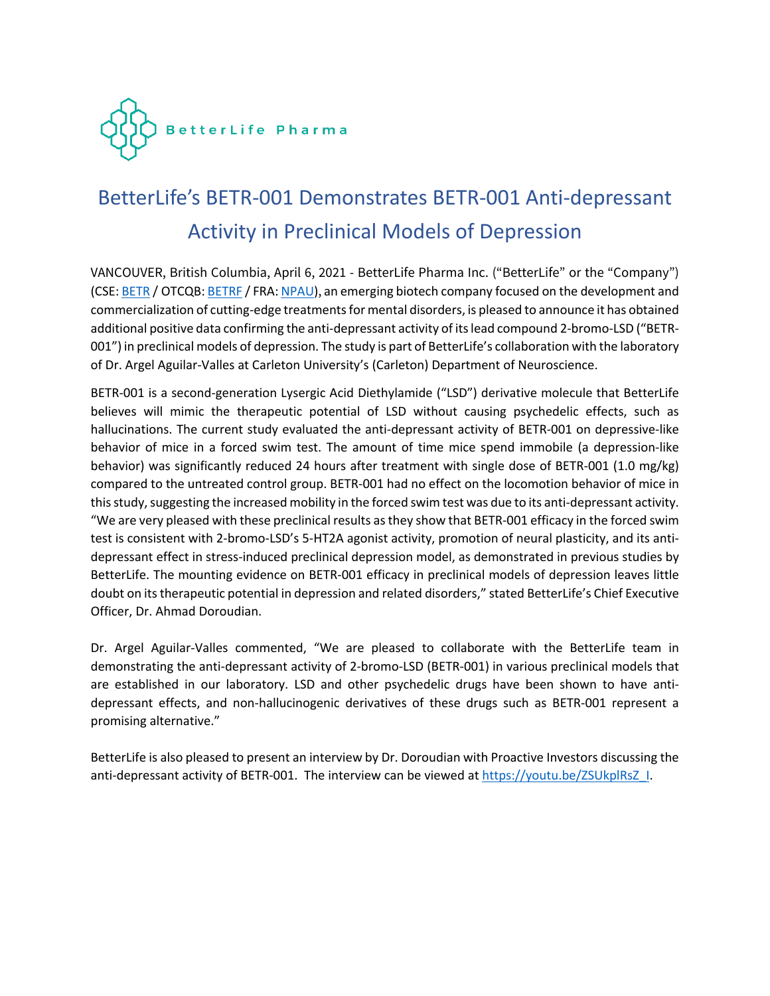

# BetterLife's BETR-001 Demonstrates BETR-001 Anti-depressant Activity in Preclinical Models of Depression

VANCOUVER, British Columbia, April 6, 2021 - BetterLife Pharma Inc. ("BetterLife" or the "Company") (CSE: BETR / OTCQB: BETRF / FRA: NPAU), an emerging biotech company focused on the development and commercialization of cutting-edge treatments for mental disorders, is pleased to announce it has obtained additional positive data confirming the anti-depressant activity of its lead compound 2-bromo-LSD ("BETR-001") in preclinical models of depression. The study is part of BetterLife's collaboration with the laboratory of Dr. Argel Aguilar-Valles at Carleton University's (Carleton) Department of Neuroscience.

BETR-001 is a second-generation Lysergic Acid Diethylamide ("LSD") derivative molecule that BetterLife believes will mimic the therapeutic potential of LSD without causing psychedelic effects, such as hallucinations. The current study evaluated the anti-depressant activity of BETR-001 on depressive-like behavior of mice in a forced swim test. The amount of time mice spend immobile (a depression-like behavior) was significantly reduced 24 hours after treatment with single dose of BETR-001 (1.0 mg/kg) compared to the untreated control group. BETR-001 had no effect on the locomotion behavior of mice in this study, suggesting the increased mobility in the forced swim test was due to its anti-depressant activity. "We are very pleased with these preclinical results as they show that BETR-001 efficacy in the forced swim test is consistent with 2-bromo-LSD's 5-HT2A agonist activity, promotion of neural plasticity, and its antidepressant effect in stress-induced preclinical depression model, as demonstrated in previous studies by BetterLife. The mounting evidence on BETR-001 efficacy in preclinical models of depression leaves little doubt on its therapeutic potential in depression and related disorders," stated BetterLife's Chief Executive Officer, Dr. Ahmad Doroudian.

Dr. Argel Aguilar-Valles commented, "We are pleased to collaborate with the BetterLife team in demonstrating the anti-depressant activity of 2-bromo-LSD (BETR-001) in various preclinical models that are established in our laboratory. LSD and other psychedelic drugs have been shown to have antidepressant effects, and non-hallucinogenic derivatives of these drugs such as BETR-001 represent a promising alternative."

BetterLife is also pleased to present an interview by Dr. Doroudian with Proactive Investors discussing the anti-depressant activity of BETR-001. The interview can be viewed at https://youtu.be/ZSUkplRsZ\_I.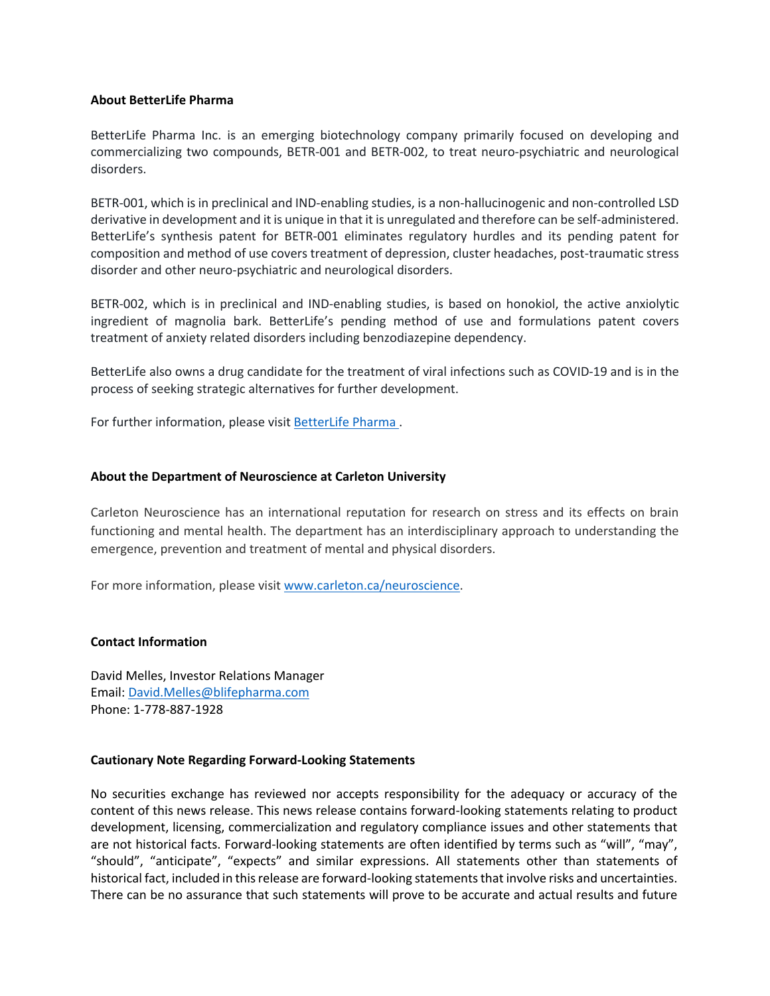## **About BetterLife Pharma**

BetterLife Pharma Inc. is an emerging biotechnology company primarily focused on developing and commercializing two compounds, BETR-001 and BETR-002, to treat neuro-psychiatric and neurological disorders.

BETR-001, which is in preclinical and IND-enabling studies, is a non-hallucinogenic and non-controlled LSD derivative in development and it is unique in that it is unregulated and therefore can be self-administered. BetterLife's synthesis patent for BETR-001 eliminates regulatory hurdles and its pending patent for composition and method of use covers treatment of depression, cluster headaches, post-traumatic stress disorder and other neuro-psychiatric and neurological disorders.

BETR-002, which is in preclinical and IND-enabling studies, is based on honokiol, the active anxiolytic ingredient of magnolia bark. BetterLife's pending method of use and formulations patent covers treatment of anxiety related disorders including benzodiazepine dependency.

BetterLife also owns a drug candidate for the treatment of viral infections such as COVID-19 and is in the process of seeking strategic alternatives for further development.

For further information, please visit BetterLife Pharma .

## **About the Department of Neuroscience at Carleton University**

Carleton Neuroscience has an international reputation for research on stress and its effects on brain functioning and mental health. The department has an interdisciplinary approach to understanding the emergence, prevention and treatment of mental and physical disorders.

For more information, please visit www.carleton.ca/neuroscience.

#### **Contact Information**

David Melles, Investor Relations Manager Email: David.Melles@blifepharma.com Phone: 1-778-887-1928

#### **Cautionary Note Regarding Forward-Looking Statements**

No securities exchange has reviewed nor accepts responsibility for the adequacy or accuracy of the content of this news release. This news release contains forward-looking statements relating to product development, licensing, commercialization and regulatory compliance issues and other statements that are not historical facts. Forward-looking statements are often identified by terms such as "will", "may", "should", "anticipate", "expects" and similar expressions. All statements other than statements of historical fact, included in this release are forward-looking statements that involve risks and uncertainties. There can be no assurance that such statements will prove to be accurate and actual results and future